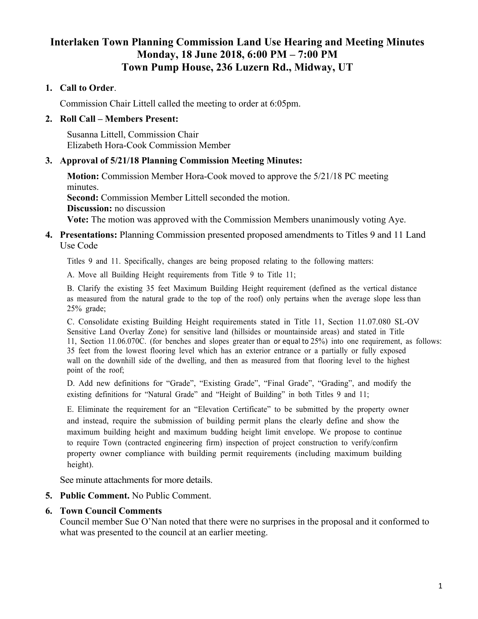# **Interlaken Town Planning Commission Land Use Hearing and Meeting Minutes Monday, 18 June 2018, 6:00 PM – 7:00 PM Town Pump House, 236 Luzern Rd., Midway, UT**

# **1. Call to Order**.

Commission Chair Littell called the meeting to order at 6:05pm.

### **2. Roll Call – Members Present:**

Susanna Littell, Commission Chair Elizabeth Hora-Cook Commission Member

# **3. Approval of 5/21/18 Planning Commission Meeting Minutes:**

**Motion:** Commission Member Hora-Cook moved to approve the 5/21/18 PC meeting minutes. **Second:** Commission Member Littell seconded the motion. **Discussion:** no discussion **Vote:** The motion was approved with the Commission Members unanimously voting Aye.

#### **4. Presentations:** Planning Commission presented proposed amendments to Titles 9 and 11 Land Use Code

Titles 9 and 11. Specifically, changes are being proposed relating to the following matters:

A. Move all Building Height requirements from Title 9 to Title 11;

B. Clarify the existing 35 feet Maximum Building Height requirement (defined as the vertical distance as measured from the natural grade to the top of the roof) only pertains when the average slope less than  $25\%$  grade;

C. Consolidate existing Building Height requirements stated in Title 11, Section 11.07.080 SL-OV Sensitive Land Overlay Zone) for sensitive land (hillsides or mountainside areas) and stated in Title 11, Section 11.06.070C. (for benches and slopes greater than or equal to  $25\%$ ) into one requirement, as follows: 35 feet from the lowest flooring level which has an exterior entrance or a partially or fully exposed wall on the downhill side of the dwelling, and then as measured from that flooring level to the highest point of the roof;

D. Add new definitions for "Grade", "Existing Grade", "Final Grade", "Grading", and modify the existing definitions for "Natural Grade" and "Height of Building" in both Titles  $9$  and  $11$ ;

E. Eliminate the requirement for an "Elevation Certificate" to be submitted by the property owner and instead, require the submission of building permit plans the clearly define and show the maximum building height and maximum budding height limit envelope. We propose to continue to require Town (contracted engineering firm) inspection of project construction to verify/confirm property owner compliance with building permit requirements (including maximum building height).

See minute attachments for more details.

#### **5. Public Comment.** No Public Comment.

#### **6. Town Council Comments**

Council member Sue O'Nan noted that there were no surprises in the proposal and it conformed to what was presented to the council at an earlier meeting.